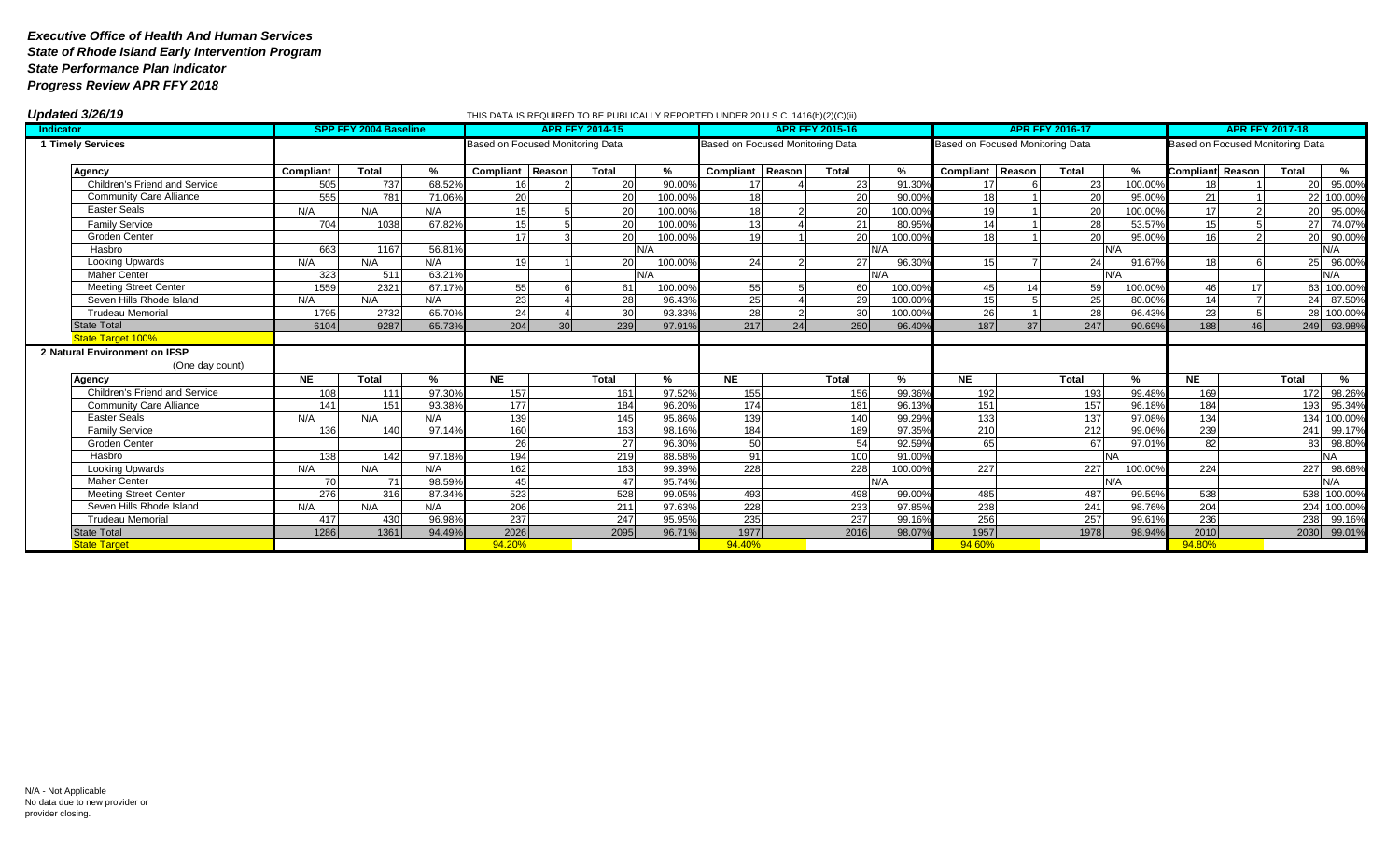#### **Updated 3/26/19** THIS DATA IS REQUIRED TO BE PUBLICALLY REPORTED UNDER 20 U.S.C. 1416(b)(2)(C)(ii)

| <b>Indicator</b>               |                  | <b>SPP FFY 2004 Baseline</b> |               |                                  | <b>APR FFY 2014-15</b> |              |         |                                  | <b>APR FFY 2015-16</b> |                 |         |                                  | <b>APR FFY 2016-17</b> |              |         |                         |    | <b>APR FFY 2017-18</b>           |             |  |  |
|--------------------------------|------------------|------------------------------|---------------|----------------------------------|------------------------|--------------|---------|----------------------------------|------------------------|-----------------|---------|----------------------------------|------------------------|--------------|---------|-------------------------|----|----------------------------------|-------------|--|--|
| 1 Timely Services              |                  |                              |               | Based on Focused Monitoring Data |                        |              |         | Based on Focused Monitoring Data |                        |                 |         | Based on Focused Monitoring Data |                        |              |         |                         |    | Based on Focused Monitoring Data |             |  |  |
|                                |                  |                              |               |                                  |                        |              |         |                                  |                        |                 |         |                                  |                        |              |         |                         |    |                                  |             |  |  |
| Agency                         | Compliant        | <b>Total</b>                 | $\frac{9}{6}$ | Compliant                        | Reason                 | <b>Total</b> | %       | Compliant Reason                 |                        | <b>Total</b>    | %       | Compliant                        | Reason                 | <b>Total</b> | %       | <b>Compliant Reason</b> |    | Total                            | %           |  |  |
| Children's Friend and Service  | 505              | 737                          | 68.52%        | 16                               |                        | 20           | 90.00%  |                                  |                        | 23              | 91.30%  | 17                               |                        | 23           | 100.00% |                         |    | 20 <sup>1</sup>                  | 95.00%      |  |  |
| <b>Community Care Alliance</b> | 555              | 781                          | 71.06%        | 20                               |                        | 20           | 100.00% | 18                               |                        | 20              | 90.00%  | 18                               |                        | 20           | 95.00%  | 21                      |    |                                  | 22 100.00%  |  |  |
| <b>Easter Seals</b>            | N/A              | N/A                          | N/A           | 15                               |                        | 20           | 100.00% | 18                               |                        | 20              | 100.00% | 19                               |                        | 20           | 100.00% | 17                      |    | 20 <sup>1</sup>                  | 95.00%      |  |  |
| <b>Family Service</b>          | 704              | 1038                         | 67.82%        | 15                               |                        | 20           | 100.00% | 13                               |                        | $\overline{21}$ | 80.95%  | 14                               |                        | 28           | 53.57%  | 15                      |    | 27                               | 74.07%      |  |  |
| Groden Center                  |                  |                              |               | 17                               |                        | 20           | 100.00% | 19                               |                        | 20              | 100.00% | 18 <sup>1</sup>                  |                        | 20           | 95.00%  | 16                      |    | <b>20</b>                        | 90.00%      |  |  |
| Hasbro                         | 663              | 1167                         | 56.81%        |                                  |                        |              | N/A     |                                  |                        |                 | N/A     |                                  |                        | N/A          |         |                         |    |                                  | N/A         |  |  |
| <b>Looking Upwards</b>         | N/A              | N/A                          | N/A           | 19 <sup>1</sup>                  |                        | 20           | 100.00% | 24                               |                        | 27              | 96.30%  | 15 <sub>l</sub>                  |                        | 24           | 91.67%  | 18                      |    | 25                               | 96.00%      |  |  |
| <b>Maher Center</b>            | $\overline{323}$ | 511                          | 63.21%        |                                  |                        |              | N/A     |                                  |                        |                 | N/A     |                                  |                        | N/A          |         |                         |    |                                  | N/A         |  |  |
| <b>Meeting Street Center</b>   | 1559             | 2321                         | 67.17%        | 55                               |                        | 61           | 100.00% | 55                               |                        | 60              | 100.00% | 45                               | 14                     | 59           | 100.00% | 46                      | 17 |                                  | 63 100.00%  |  |  |
| Seven Hills Rhode Island       | N/A              | N/A                          | N/A           | 23                               |                        | 28           | 96.43%  | $\overline{25}$                  |                        | 29              | 100.00% | 15                               |                        | 25           | 80.00%  | 14                      |    |                                  | 24 87.50%   |  |  |
| <b>Trudeau Memorial</b>        | 1795             | 2732                         | 65.70%        | 24                               |                        | 30           | 93.33%  | 28                               |                        | 30              | 100.00% | 26                               |                        | 28           | 96.43%  | 23                      |    |                                  | 28 100.00%  |  |  |
| <b>State Total</b>             | 6104             | 9287                         | 65.73%        | 204                              | 30 <sup>1</sup>        | 239          | 97.91%  | 217                              | 24                     | 250             | 96.40%  | 187                              | 37                     | 247          | 90.69%  | 188                     | 46 |                                  | 249 93.98%  |  |  |
| <b>State Target 100%</b>       |                  |                              |               |                                  |                        |              |         |                                  |                        |                 |         |                                  |                        |              |         |                         |    |                                  |             |  |  |
| 2 Natural Environment on IFSP  |                  |                              |               |                                  |                        |              |         |                                  |                        |                 |         |                                  |                        |              |         |                         |    |                                  |             |  |  |
| (One day count)                |                  |                              |               |                                  |                        |              |         |                                  |                        |                 |         |                                  |                        |              |         |                         |    |                                  |             |  |  |
| Agency                         | <b>NE</b>        | <b>Total</b>                 | %             | <b>NE</b>                        |                        | <b>Total</b> | %       | <b>NE</b>                        |                        | <b>Total</b>    | %       | <b>NE</b>                        |                        | Total        | %       | <b>NE</b>               |    | Total                            | %           |  |  |
| Children's Friend and Service  | 108              | 111                          | 97.30%        | 157                              |                        | 161          | 97.52%  | 155                              |                        | 156             | 99.36%  | 192                              |                        | 193          | 99.48%  | 169                     |    | 172                              | 98.26%      |  |  |
| <b>Community Care Alliance</b> | 141              | 151                          | 93.38%        | 177                              |                        | 184          | 96.20%  | 174                              |                        | 181             | 96.13%  | 151                              |                        | 157          | 96.18%  | 184                     |    | 193 <sup>1</sup>                 | 95.34%      |  |  |
| <b>Easter Seals</b>            | N/A              | N/A                          | N/A           | 139                              |                        | 145          | 95.86%  | 139                              |                        | 140             | 99.29%  | 133                              |                        | 137          | 97.08%  | 134                     |    | 134                              | 100.00%     |  |  |
| <b>Family Service</b>          | 136              | 140                          | 97.14%        | 160                              |                        | 163          | 98.16%  | 184                              |                        | 189             | 97.35%  | 210                              |                        | 212          | 99.06%  | 239                     |    | 241                              | 99.17%      |  |  |
| <b>Groden Center</b>           |                  |                              |               | 26                               |                        | 27           | 96.30%  | 50                               |                        | 54              | 92.59%  | 65                               |                        | 67           | 97.01%  | 82                      |    | 83                               | 98.80%      |  |  |
| Hasbro                         | 138              | 142                          | 97.18%        | 194                              |                        | 219          | 88.58%  | 91                               |                        | 100             | 91.00%  |                                  |                        | <b>NA</b>    |         |                         |    |                                  | <b>NA</b>   |  |  |
| <b>Looking Upwards</b>         | N/A              | N/A                          | N/A           | 162                              |                        | 163          | 99.39%  | 228                              |                        | 228             | 100.00% | 227                              |                        | 227          | 100.00% | 224                     |    | 227                              | 98.68%      |  |  |
| <b>Maher Center</b>            | 70               | 71                           | 98.59%        | 45                               |                        | 47           | 95.74%  |                                  |                        |                 | N/A     |                                  |                        | N/A          |         |                         |    |                                  | N/A         |  |  |
| <b>Meeting Street Center</b>   | 276              | 316                          | 87.34%        | 523                              |                        | 528          | 99.05%  | 493                              |                        | 498             | 99.00%  | 485                              |                        | 487          | 99.59%  | 538                     |    |                                  | 538 100.00% |  |  |
| Seven Hills Rhode Island       | N/A              | N/A                          | N/A           | 206                              |                        | 211          | 97.63%  | 228                              |                        | 233             | 97.85%  | 238                              |                        | 241          | 98.76%  | 204                     |    |                                  | 204 100.00% |  |  |
| <b>Trudeau Memorial</b>        | 417              | 430                          | 96.98%        | 237                              |                        | 247          | 95.95%  | 235                              |                        | 237             | 99.16%  | 256                              |                        | 257          | 99.61%  | 236                     |    |                                  | 238 99.16%  |  |  |
| <b>State Total</b>             | 1286             | 1361                         | 94.49%        | 2026                             |                        | 2095         | 96.71%  | 1977                             |                        | 2016            | 98.07%  | 1957                             |                        | 1978         | 98.94%  | 2010                    |    |                                  | 2030 99.01% |  |  |
| <b>State Target</b>            |                  |                              |               | 94.20%                           |                        |              |         | 94.40%                           |                        |                 |         | 94.60%                           |                        |              |         | 94.80%                  |    |                                  |             |  |  |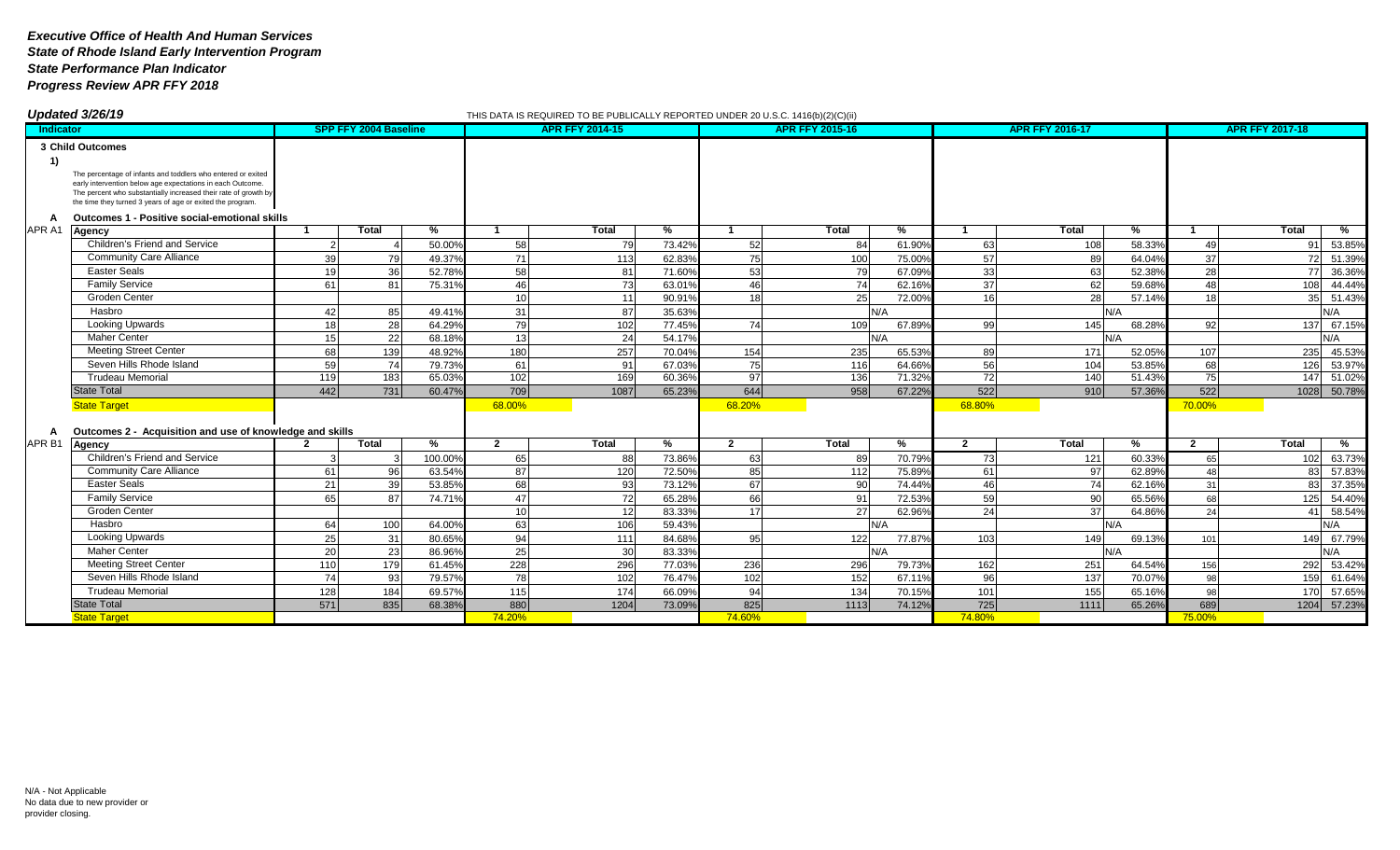#### **Updated 3/26/19** THIS DATA IS REQUIRED TO BE PUBLICALLY REPORTED UNDER 20 U.S.C. 1416(b)(2)(C)(ii)

| Indicator |                                                                                                                                                                                                                                                             |                | <b>SPP FFY 2004 Baseline</b> |         |                | <b>APR FFY 2014-15</b> |        |                | <b>APR FFY 2015-16</b> |        |                | <b>APR FFY 2016-17</b> |        |              | <b>APR FFY 2017-18</b> |        |
|-----------|-------------------------------------------------------------------------------------------------------------------------------------------------------------------------------------------------------------------------------------------------------------|----------------|------------------------------|---------|----------------|------------------------|--------|----------------|------------------------|--------|----------------|------------------------|--------|--------------|------------------------|--------|
|           | 3 Child Outcomes                                                                                                                                                                                                                                            |                |                              |         |                |                        |        |                |                        |        |                |                        |        |              |                        |        |
| 1)        |                                                                                                                                                                                                                                                             |                |                              |         |                |                        |        |                |                        |        |                |                        |        |              |                        |        |
|           | The percentage of infants and toddlers who entered or exited<br>early intervention below age expectations in each Outcome.<br>The percent who substantially increased their rate of growth by<br>the time they turned 3 years of age or exited the program. |                |                              |         |                |                        |        |                |                        |        |                |                        |        |              |                        |        |
| A         | Outcomes 1 - Positive social-emotional skills                                                                                                                                                                                                               |                |                              |         |                |                        |        |                |                        |        |                |                        |        |              |                        |        |
| APR A1    | Agency                                                                                                                                                                                                                                                      |                | Total                        | %       |                | <b>Total</b>           | %      |                | Total                  | %      |                | <b>Total</b>           | %      |              | Total                  | %      |
|           | Children's Friend and Service                                                                                                                                                                                                                               | $\mathfrak{p}$ |                              | 50.00%  | 58             | 79                     | 73.42% | 52             | 84                     | 61.90% | 63             | 108                    | 58.33% | 49           | 91                     | 53.85% |
|           | <b>Community Care Alliance</b>                                                                                                                                                                                                                              | 39             | 79                           | 49.37%  | 71             | 113                    | 62.83% | 75             | 100                    | 75.00% | 57             | 89                     | 64.04% | 37           | 72                     | 51.39% |
|           | <b>Easter Seals</b>                                                                                                                                                                                                                                         | 19             | 36                           | 52.78%  | 58             | 81                     | 71.60% | 53             | 79                     | 67.09% | 33             | 63                     | 52.38% | 28           | 77                     | 36.36% |
|           | <b>Family Service</b>                                                                                                                                                                                                                                       | 61             | 81                           | 75.31%  | 46             | 73                     | 63.019 | 46             | 74                     | 62.16% | 37             | 62                     | 59.68% | 48           | 105                    | 44.44% |
|           | <b>Groden Center</b>                                                                                                                                                                                                                                        |                |                              |         | 10             | 11                     | 90.91% | 18             | 25                     | 72.00% | 16             | 28                     | 57.14% | 18           | 35                     | 51.43% |
|           | Hasbro                                                                                                                                                                                                                                                      | 42             | 85                           | 49.41%  | 31             | 87                     | 35.63% |                | N/A                    |        |                |                        | N/A    |              |                        | N/A    |
|           | <b>Looking Upwards</b>                                                                                                                                                                                                                                      | 18             | 28                           | 64.29%  | 79             | 102                    | 77.45% | 74             | 109                    | 67.89% | 99             | 145                    | 68.28% | 92           | 137                    | 67.15% |
|           | <b>Maher Center</b>                                                                                                                                                                                                                                         | 15             | 22                           | 68.18%  | 13             | 24                     | 54.17% |                | N/A                    |        |                |                        | N/A    |              |                        | N/A    |
|           | <b>Meeting Street Center</b>                                                                                                                                                                                                                                | 68             | 139                          | 48.92%  | 180            | 257                    | 70.04% | 154            | 235                    | 65.53% | 89             | 171                    | 52.05% | 107          | 235                    | 45.53% |
|           | Seven Hills Rhode Island                                                                                                                                                                                                                                    | 59             | 74                           | 79.73%  | 61             | 91                     | 67.03% | 75             | 116                    | 64.66% | 56             | 104                    | 53.85% | 68           | 126                    | 53.97% |
|           | <b>Trudeau Memorial</b>                                                                                                                                                                                                                                     | 119            | 183                          | 65.03%  | 102            | 169                    | 60.36% | 97             | 136                    | 71.32% | 72             | 140                    | 51.43% | 75           | 147                    | 51.02% |
|           | <b>State Total</b>                                                                                                                                                                                                                                          | 442            | 731                          | 60.47%  | 709            | 1087                   | 65.23% | 644            | 958                    | 67.22% | 522            | 910                    | 57.36% | 522          | 1028                   | 50.78% |
|           | <b>State Target</b>                                                                                                                                                                                                                                         |                |                              |         | 68.00%         |                        |        | 68.20%         |                        |        | 68.80%         |                        |        | 70.00%       |                        |        |
|           |                                                                                                                                                                                                                                                             |                |                              |         |                |                        |        |                |                        |        |                |                        |        |              |                        |        |
| A         | Outcomes 2 - Acquisition and use of knowledge and skills                                                                                                                                                                                                    |                |                              |         |                |                        |        |                |                        |        |                |                        |        |              |                        |        |
| APR B1    | Agency                                                                                                                                                                                                                                                      | $\overline{2}$ | Total                        | %       | $\overline{2}$ | Total                  | %      | $\overline{2}$ | Total                  | %      | $\overline{2}$ | Total                  | %      | $\mathbf{2}$ | Total                  | %      |
|           | Children's Friend and Service                                                                                                                                                                                                                               |                |                              | 100.00% | 65             | 88                     | 73.86% | 63             | 89                     | 70.79% | 73             | 121                    | 60.33% | 65           | 102                    | 63.73% |
|           | <b>Community Care Alliance</b>                                                                                                                                                                                                                              | 61             | 96                           | 63.54%  | 87             | 120                    | 72.50% | 85             | 112                    | 75.89% | 61             | 97                     | 62.89% | 48           | 83                     | 57.83% |
|           | <b>Easter Seals</b>                                                                                                                                                                                                                                         | 21             | 39                           | 53.85%  | 68             | 93                     | 73.12% | 67             | 90                     | 74.44% | 46             | 74                     | 62.16% | 31           | -83                    | 37.35% |
|           | <b>Family Service</b>                                                                                                                                                                                                                                       | 65             | 87                           | 74.71%  | 47             | 72                     | 65.28% | 66             | 91                     | 72.53% | 59             | 90                     | 65.56% | 68           | 125                    | 54.40% |
|           | <b>Groden Center</b>                                                                                                                                                                                                                                        |                |                              |         | 10             | 12                     | 83.33% | 17             | 27                     | 62.96% | 24             | 37                     | 64.86% | 24           | 41                     | 58.54% |
|           | Hasbro                                                                                                                                                                                                                                                      | 64             | 100                          | 64.00%  | 63             | 106                    | 59.43% |                | N/A                    |        |                |                        | N/A    |              |                        | N/A    |
|           | Looking Upwards                                                                                                                                                                                                                                             | 25             | 31                           | 80.65%  | 94             | 111                    | 84.68% | 95             | 122                    | 77.87% | 103            | 149                    | 69.13% | 101          | 149                    | 67.79% |
|           | <b>Maher Center</b>                                                                                                                                                                                                                                         | 20             | 23                           | 86.96%  | 25             | 30                     | 83.33% |                | N/A                    |        |                |                        | N/A    |              |                        | N/A    |
|           | <b>Meeting Street Center</b>                                                                                                                                                                                                                                | 110            | 179                          | 61.45%  | 228            | 296                    | 77.03% | 236            | 296                    | 79.73% | 162            | 251                    | 64.54% | 156          | 292                    | 53.42% |
|           | Seven Hills Rhode Island                                                                                                                                                                                                                                    | 74             | 93                           | 79.57%  | 78             | 102                    | 76.47% | 102            | 152                    | 67.11% | 96             | 137                    | 70.07% | 98           | 159                    | 61.64% |
|           | <b>Trudeau Memorial</b>                                                                                                                                                                                                                                     | 128            | 184                          | 69.57%  | 115            | 174                    | 66.09% | 94             | 134                    | 70.15% | 101            | 155                    | 65.16% | 98           | 170                    | 57.65% |
|           | <b>State Total</b>                                                                                                                                                                                                                                          | 571            | 835                          | 68.38%  | 880            | 1204                   | 73.09% | 825            | 1113                   | 74.12% | 725            | 1111                   | 65.26% | 689          | 1204                   | 57.23% |
|           | <b>State Target</b>                                                                                                                                                                                                                                         |                |                              |         | 74.20%         |                        |        | 74.60%         |                        |        | 74.80%         |                        |        | 75.00%       |                        |        |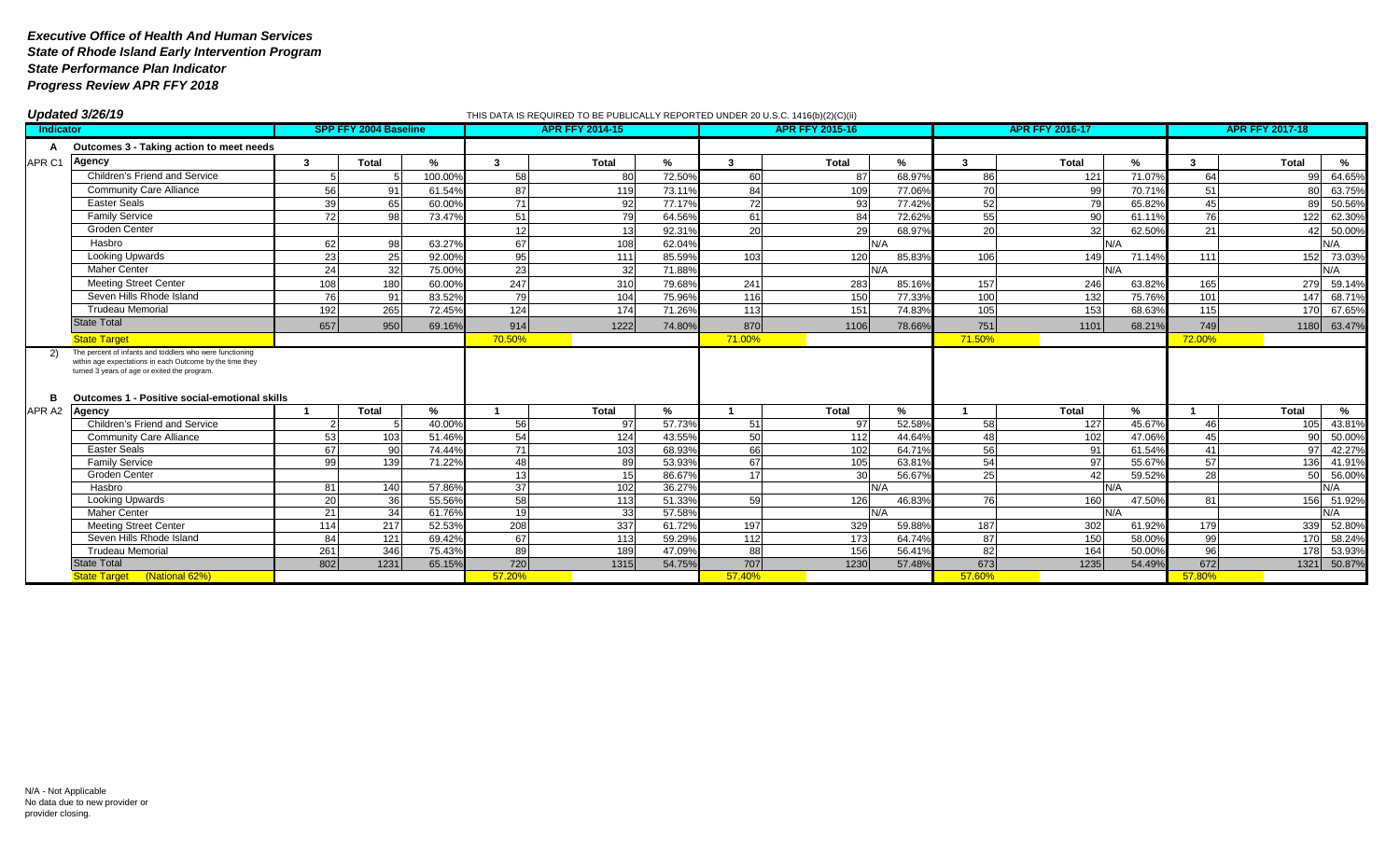|                   | <b>Updated 3/26/19</b>                                                                                                                                                                                                |                 |                              |         |                 |                        | THIS DATA IS REQUIRED TO BE PUBLICALLY REPORTED UNDER 20 U.S.C. 1416(b)(2)(C)(ii) |                  |                        |        |                 |                        |                        |              |                     |  |
|-------------------|-----------------------------------------------------------------------------------------------------------------------------------------------------------------------------------------------------------------------|-----------------|------------------------------|---------|-----------------|------------------------|-----------------------------------------------------------------------------------|------------------|------------------------|--------|-----------------|------------------------|------------------------|--------------|---------------------|--|
| Indicator         |                                                                                                                                                                                                                       |                 | <b>SPP FFY 2004 Baseline</b> |         |                 | <b>APR FFY 2014-15</b> |                                                                                   |                  | <b>APR FFY 2015-16</b> |        |                 | <b>APR FFY 2016-17</b> | <b>APR FFY 2017-18</b> |              |                     |  |
|                   | Outcomes 3 - Taking action to meet needs                                                                                                                                                                              |                 |                              |         |                 |                        |                                                                                   |                  |                        |        |                 |                        |                        |              |                     |  |
| APR <sub>C1</sub> | <b>Agency</b>                                                                                                                                                                                                         | 3               | <b>Total</b>                 | %       | $\mathbf{3}$    | <b>Total</b>           | %                                                                                 | 3                | <b>Total</b>           | %      | 3               | Total                  | %                      | $\mathbf{3}$ | %<br><b>Total</b>   |  |
|                   | Children's Friend and Service                                                                                                                                                                                         |                 |                              | 100.00% | 58              | 80                     | 72.50%                                                                            | 60               | 87                     | 68.97% | 86              | 121                    | 71.07%                 | 64           | 64.65%<br>$\Omega$  |  |
|                   | <b>Community Care Alliance</b>                                                                                                                                                                                        | 56              | 91                           | 61.54%  | 87              | 119                    | 73.11%                                                                            | 84               | 109                    | 77.06% | 70              | 99                     | 70.71%                 | 51           | 63.75%              |  |
|                   | <b>Easter Seals</b>                                                                                                                                                                                                   | 39              | 65                           | 60.00%  | 71              | 92                     | 77.17%                                                                            | 72               | 93                     | 77.42% | 52              | 79                     | 65.82%                 | 45           | 50.56%<br>$\Omega$  |  |
|                   | <b>Family Service</b>                                                                                                                                                                                                 | 72              | 98                           | 73.47%  | 51              | 79                     | 64.56%                                                                            | 61               | 84                     | 72.62% | 55              | 90                     | 61.11%                 | 76           | 62.30%<br>122       |  |
|                   | <b>Groden Center</b>                                                                                                                                                                                                  |                 |                              |         | 12              | 13                     | 92.31%                                                                            | 20               | 29                     | 68.97% | 20              | 32                     | 62.50%                 | 21           | 50.00%              |  |
|                   | Hasbro                                                                                                                                                                                                                | 62              | 98                           | 63.27%  | 67              | 108                    | 62.04%                                                                            |                  |                        | N/A    |                 |                        | N/A                    |              | N/A                 |  |
|                   | <b>Looking Upwards</b>                                                                                                                                                                                                | 23              | 25                           | 92.00%  | 95              | 111                    | 85.59%                                                                            | 103              | 120                    | 85.83% | 106             | 149                    | 71.14%                 | 111          | 73.03%<br>152       |  |
|                   | <b>Maher Center</b>                                                                                                                                                                                                   | 24              | 32                           | 75.00%  | 23              | 32                     | 71.88%                                                                            |                  |                        | N/A    |                 |                        | N/A                    |              | N/A                 |  |
|                   | <b>Meeting Street Center</b>                                                                                                                                                                                          | 108             | 180                          | 60.00%  | 247             | 310                    | 79.68%                                                                            | 241              | 283                    | 85.16% | 157             | 246                    | 63.82%                 | 165          | 59.14%<br>279       |  |
|                   | Seven Hills Rhode Island                                                                                                                                                                                              | 76              | 91                           | 83.52%  | 79              | 104                    | 75.96%                                                                            | 116              | 150                    | 77.33% | 100             | 132                    | 75.76%                 | 101          | 68.71%<br>147       |  |
|                   | <b>Trudeau Memorial</b>                                                                                                                                                                                               | 192             | 265                          | 72.45%  | 124             | 174                    | 71.26%                                                                            | 113              | 151                    | 74.83% | 105             | 153                    | 68.63%                 | 115          | 67.65%<br>170       |  |
|                   | <b>State Total</b>                                                                                                                                                                                                    | 657             | 950                          | 69.16%  | 914             | 1222                   | 74.80%                                                                            | 870              | 1106                   | 78.66% | 751             | 1101                   | 68.21%                 | 749          | 1180 63.47%         |  |
|                   | <b>State Target</b>                                                                                                                                                                                                   |                 |                              |         | 70.50%          |                        |                                                                                   | 71.00%           |                        |        | 71.50%          |                        |                        | 72.00%       |                     |  |
| в                 | The percent of infants and toddlers who were functioning<br>within age expectations in each Outcome by the time they<br>turned 3 years of age or exited the program.<br>Outcomes 1 - Positive social-emotional skills |                 |                              |         |                 |                        |                                                                                   |                  |                        |        |                 |                        |                        |              |                     |  |
| APR A2            | Agency                                                                                                                                                                                                                |                 | Total                        | %       |                 | Total                  | $\frac{9}{6}$                                                                     |                  | <b>Total</b>           | %      |                 | <b>Total</b>           | %                      |              | Total<br>%          |  |
|                   | Children's Friend and Service                                                                                                                                                                                         |                 |                              | 40.00%  | 56              | 97                     | 57.73%                                                                            | 51               | 97                     | 52.58% | 58              | 127                    | 45.67%                 | 46           | 43.81%<br>105       |  |
|                   | <b>Community Care Alliance</b>                                                                                                                                                                                        | 53              | 103                          | 51.46%  | 54              | 124                    | 43.55%                                                                            | 50               | 112                    | 44.64% | 48              | 102                    | 47.06%                 | 45           | 50.00%<br><b>QO</b> |  |
|                   | <b>Easter Seals</b>                                                                                                                                                                                                   | 67              | 90                           | 74.44%  | 71              | 103                    | 68.93%                                                                            | 66               | 102                    | 64.71% | 56              | 91                     | 61.549                 | 41           | 42.27%<br>97        |  |
|                   | <b>Family Service</b>                                                                                                                                                                                                 | 99              | 139                          | 71.22%  | 48              | 89                     | 53.93%                                                                            | 67               | 105                    | 63.81% | 54              | 97                     | 55.67%                 | 57           | 41.91%<br>136       |  |
|                   | <b>Groden Center</b>                                                                                                                                                                                                  |                 |                              |         | 13              | 15                     | 86.67%                                                                            | 17               | 30                     | 56.67% | 25              | 42                     | 59.52%                 | 28           | 56.00%<br>50        |  |
|                   | Hasbro                                                                                                                                                                                                                | 81              | 140                          | 57.86%  | $\overline{37}$ | 102                    | 36.27%                                                                            |                  |                        | N/A    |                 |                        | N/A                    |              | N/A                 |  |
|                   | <b>Looking Upwards</b>                                                                                                                                                                                                | $\overline{20}$ | 36                           | 55.56%  | 58              | 113                    | 51.33%                                                                            | 59               | 126                    | 46.83% | 76              | 160                    | 47.50%                 | 81           | 156 51.92%          |  |
|                   | <b>Maher Center</b>                                                                                                                                                                                                   | 21              | 34                           | 61.76%  | 19              | 33                     | 57.58%                                                                            |                  |                        | N/A    |                 |                        | N/A                    |              | N/A                 |  |
|                   | <b>Meeting Street Center</b>                                                                                                                                                                                          | 114             | 217                          | 52.53%  | 208             | 337                    | 61.72%                                                                            | 197              | 329                    | 59.88% | 187             | 302                    | 61.92%                 | 179          | 52.80%<br>339       |  |
|                   | Seven Hills Rhode Island                                                                                                                                                                                              | 84              | 121                          | 69.42%  | 67              | 113                    | 59.29%                                                                            | $\overline{112}$ | 173                    | 64.74% | $\overline{87}$ | 150                    | 58.00%                 | 99           | 58.24%<br>170       |  |
|                   | <b>Trudeau Memorial</b><br><b>State Total</b>                                                                                                                                                                         | 261             | 346                          | 75.43%  | 89              | 189                    | 47.09%                                                                            | 88               | 156                    | 56.41% | 82              | 164                    | 50.00%                 | 96<br>672    | 178<br>53.93%       |  |
|                   | State Target (National 62%)                                                                                                                                                                                           | 802             | 1231                         | 65.15%  | 720<br>57.20%   | 1315                   | 54.75%                                                                            | 707<br>57.40%    | 1230                   | 57.48% | 673<br>57.60%   | 1235                   | 54.49%                 | 57.80%       | 1321 50.87%         |  |
|                   |                                                                                                                                                                                                                       |                 |                              |         |                 |                        |                                                                                   |                  |                        |        |                 |                        |                        |              |                     |  |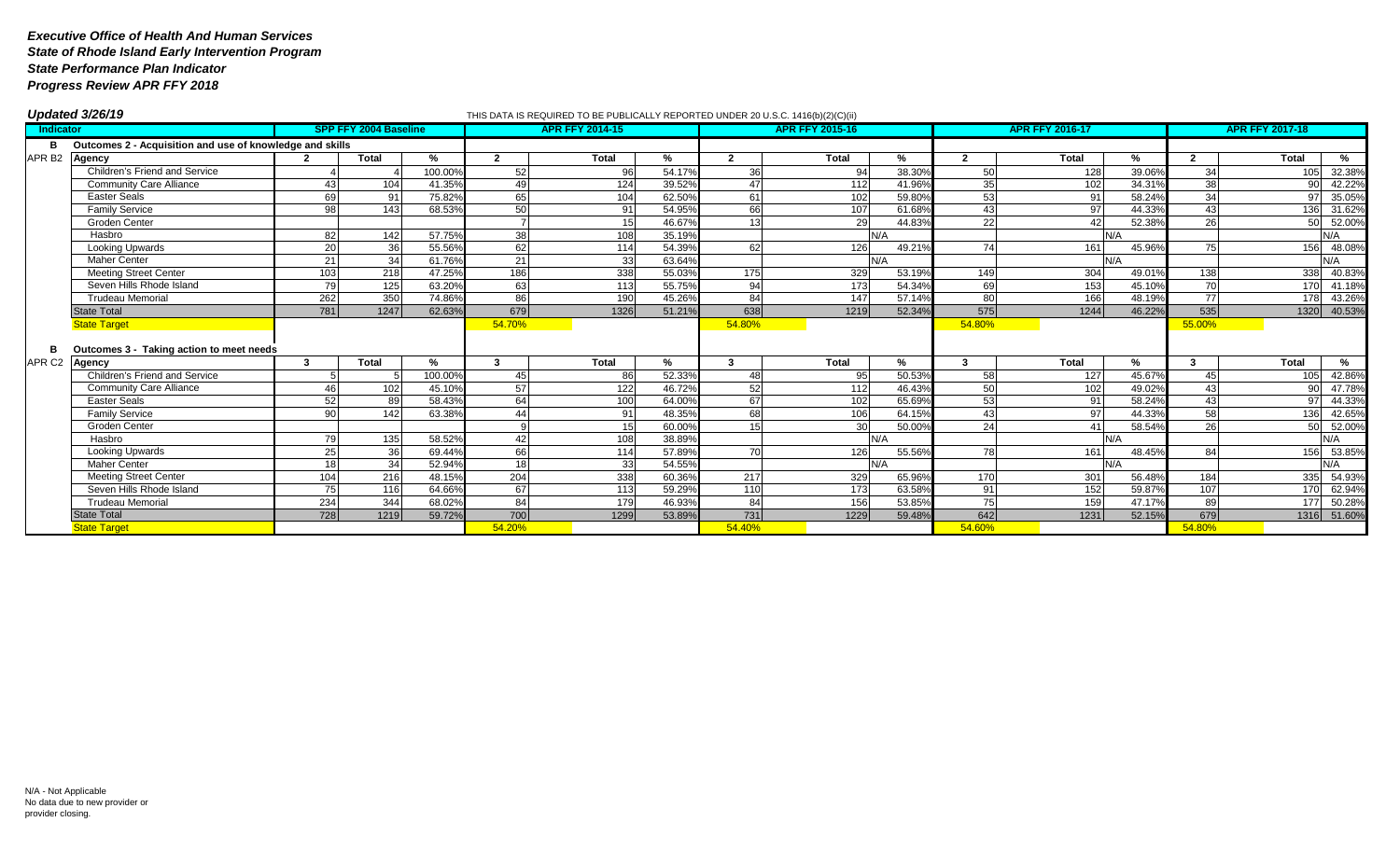|                   | Updated 3/26/19                                          |                 |                              |         |                | THIS DATA IS REQUIRED TO BE PUBLICALLY REPORTED UNDER 20 U.S.C. 1416(b)(2)(C)(ii) |        |                |                        |        |                 |                        |        |                        |                |             |
|-------------------|----------------------------------------------------------|-----------------|------------------------------|---------|----------------|-----------------------------------------------------------------------------------|--------|----------------|------------------------|--------|-----------------|------------------------|--------|------------------------|----------------|-------------|
| Indicator         |                                                          |                 | <b>SPP FFY 2004 Baseline</b> |         |                | <b>APR FFY 2014-15</b>                                                            |        |                | <b>APR FFY 2015-16</b> |        |                 | <b>APR FFY 2016-17</b> |        | <b>APR FFY 2017-18</b> |                |             |
| в                 | Outcomes 2 - Acquisition and use of knowledge and skills |                 |                              |         |                |                                                                                   |        |                |                        |        |                 |                        |        |                        |                |             |
| APR <sub>B2</sub> | Agency                                                   |                 | <b>Total</b>                 | %       | $\overline{2}$ | <b>Total</b>                                                                      | $\%$   | $\overline{2}$ | <b>Total</b>           | %      | $\overline{2}$  | Total                  | %      | $\overline{2}$         | Total          | %           |
|                   | Children's Friend and Service                            |                 |                              | 100.00% | 52             | 96                                                                                | 54.17% | 36             | 94                     | 38.30% | 50              | 128                    | 39.06% | 34                     | 105            | 32.38%      |
|                   | <b>Community Care Alliance</b>                           | 43              | 104                          | 41.35%  | 49             | 124                                                                               | 39.52% | 47             | 112                    | 41.96% | 35              | 102                    | 34.31% | 38                     | Q <sub>0</sub> | 42.22%      |
|                   | <b>Easter Seals</b>                                      | 69              | 91                           | 75.82%  | 65             | 104                                                                               | 62.50% | 61             | 102                    | 59.80% | 53              | 91                     | 58.24% | 34                     | 971            | 35.05%      |
|                   | <b>Family Service</b>                                    | 98 <sup>1</sup> | 143                          | 68.53%  | 50             | 91                                                                                | 54.95% | 66             | 107                    | 61.68% | 43 <sub>l</sub> | 97                     | 44.33% | 43                     |                | 136 31.62%  |
|                   | Groden Center                                            |                 |                              |         |                | 15                                                                                | 46.67% | 13             | 29                     | 44.83% | 22              | 42                     | 52.38% | 26                     | 501            | 52.00%      |
|                   | Hasbro                                                   | 82              | 142                          | 57.75%  | 38             | 108                                                                               | 35.19% |                |                        | N/A    |                 |                        | N/A    |                        |                | N/A         |
|                   | <b>Looking Upwards</b>                                   | 20              | 36                           | 55.56%  | 62             | 114                                                                               | 54.39% | 62             | 126                    | 49.21% | 74              | 161                    | 45.96% | 75                     | 156            | 48.08%      |
|                   | <b>Maher Center</b>                                      | 21              | 34                           | 61.76%  | 21             | 33                                                                                | 63.64% |                |                        | N/A    |                 | N/A                    |        |                        |                | N/A         |
|                   | <b>Meeting Street Center</b>                             | 103             | 218                          | 47.25%  | 186            | 338                                                                               | 55.03% | 175            | 329                    | 53.19% | 149             | 304                    | 49.01% | 138                    | 338            | 40.83%      |
|                   | Seven Hills Rhode Island                                 | 79              | $\overline{125}$             | 63.20%  | 63             | $\overline{113}$                                                                  | 55.75% | 94             | 173                    | 54.34% | 69              | 153                    | 45.10% | $\overline{70}$        |                | 170 41.18%  |
|                   | <b>Trudeau Memorial</b>                                  | 262             | 350                          | 74.86%  | 86             | 190                                                                               | 45.26% | 84             | 147                    | 57.14% | 80              | 166                    | 48.19% | $\overline{77}$        |                | 178 43.26%  |
|                   | <b>State Total</b>                                       | 781             | 1247                         | 62.63%  | 679            | 1326                                                                              | 51.21% | 638            | 1219                   | 52.34% | 575             | 1244                   | 46.22% | 535                    |                | 1320 40.53% |
|                   | <b>State Target</b>                                      |                 |                              |         | 54.70%         |                                                                                   |        | 54.80%         |                        |        | 54.80%          |                        |        | 55.00%                 |                |             |
|                   |                                                          |                 |                              |         |                |                                                                                   |        |                |                        |        |                 |                        |        |                        |                |             |
| в                 | Outcomes 3 - Taking action to meet needs                 |                 |                              |         |                |                                                                                   |        |                |                        |        |                 |                        |        |                        |                |             |
|                   | APR C2 Agency                                            | 3               | <b>Total</b>                 | %       | 3              | <b>Total</b>                                                                      | %      | 3              | <b>Total</b>           | %      | 3               | <b>Total</b>           | %      | ર                      | <b>Total</b>   | %           |
|                   | <b>Children's Friend and Service</b>                     |                 |                              | 100.00% | 45             | 86                                                                                | 52.33% | 48             | 95                     | 50.53% | 58              | 127                    | 45.67% | 45                     | 105            | 42.86%      |
|                   | <b>Community Care Alliance</b>                           | 46              | 102                          | 45.10%  | 57             | 122                                                                               | 46.72% | 52             | 112                    | 46.43% | 50              | 102                    | 49.02% | 43                     | ۹N             | 47.78%      |
|                   | <b>Easter Seals</b>                                      | 52              | 89                           | 58.43%  | 64             | 100                                                                               | 64.00% | 67             | 102                    | 65.69% | 53              | 91                     | 58.24% | 43                     | 97             | 44.33%      |
|                   | <b>Family Service</b>                                    | 90              | 142                          | 63.38%  | 44             | 91                                                                                | 48.35% | 68             | 106                    | 64.15% | 43              | 97                     | 44.33% | 58                     | 136            | 42.65%      |
|                   | Groden Center                                            |                 |                              |         |                | 15                                                                                | 60.00% | 15             | 30                     | 50.00% | 24              | 4 <sup>′</sup>         | 58.54% | 26                     | 50             | 52.00%      |
|                   | Hasbro                                                   | 79              | 135                          | 58.52%  | 42             | 108                                                                               | 38.89% |                |                        | N/A    |                 |                        | N/A    |                        |                | N/A         |
|                   | <b>Looking Upwards</b>                                   | 25              | 36                           | 69.44%  | 66             | 114                                                                               | 57.89% | 70             | 126                    | 55.56% | 78              | 161                    | 48.45% | 84                     | 156            | 53.85%      |
|                   | <b>Maher Center</b>                                      | 18              | 34                           | 52.94%  | 18             | 33                                                                                | 54.55% |                |                        | N/A    |                 |                        | N/A    |                        |                | N/A         |
|                   | <b>Meeting Street Center</b>                             | 104             | 216                          | 48.15%  | 204            | 338                                                                               | 60.36% | 217            | 329                    | 65.96% | 170             | 301                    | 56.48% | 184                    |                | 335 54.93%  |
|                   | Seven Hills Rhode Island                                 | 75              | 116                          | 64.66%  | 67             | 113                                                                               | 59.29% | 110            | 173                    | 63.58% | 91              | 152                    | 59.87% | 107                    | <b>170</b>     | 62.94%      |
|                   | <b>Trudeau Memorial</b>                                  | 234             | 344                          | 68.02%  | 84             | 179                                                                               | 46.93% | 84             | 156                    | 53.85% | 75              | 159                    | 47.17% | 89                     | 177            | 50.28%      |
|                   | <b>State Total</b>                                       | 728             | 1219                         | 59.72%  | 700            | 1299                                                                              | 53.89% | 731            | 1229                   | 59.48% | 642             | 1231                   | 52.15% | 679                    |                | 1316 51.60% |
|                   | <b>State Target</b>                                      |                 |                              |         | 54.20%         |                                                                                   |        | 54.40%         |                        |        | 54.60%          |                        |        | 54.80%                 |                |             |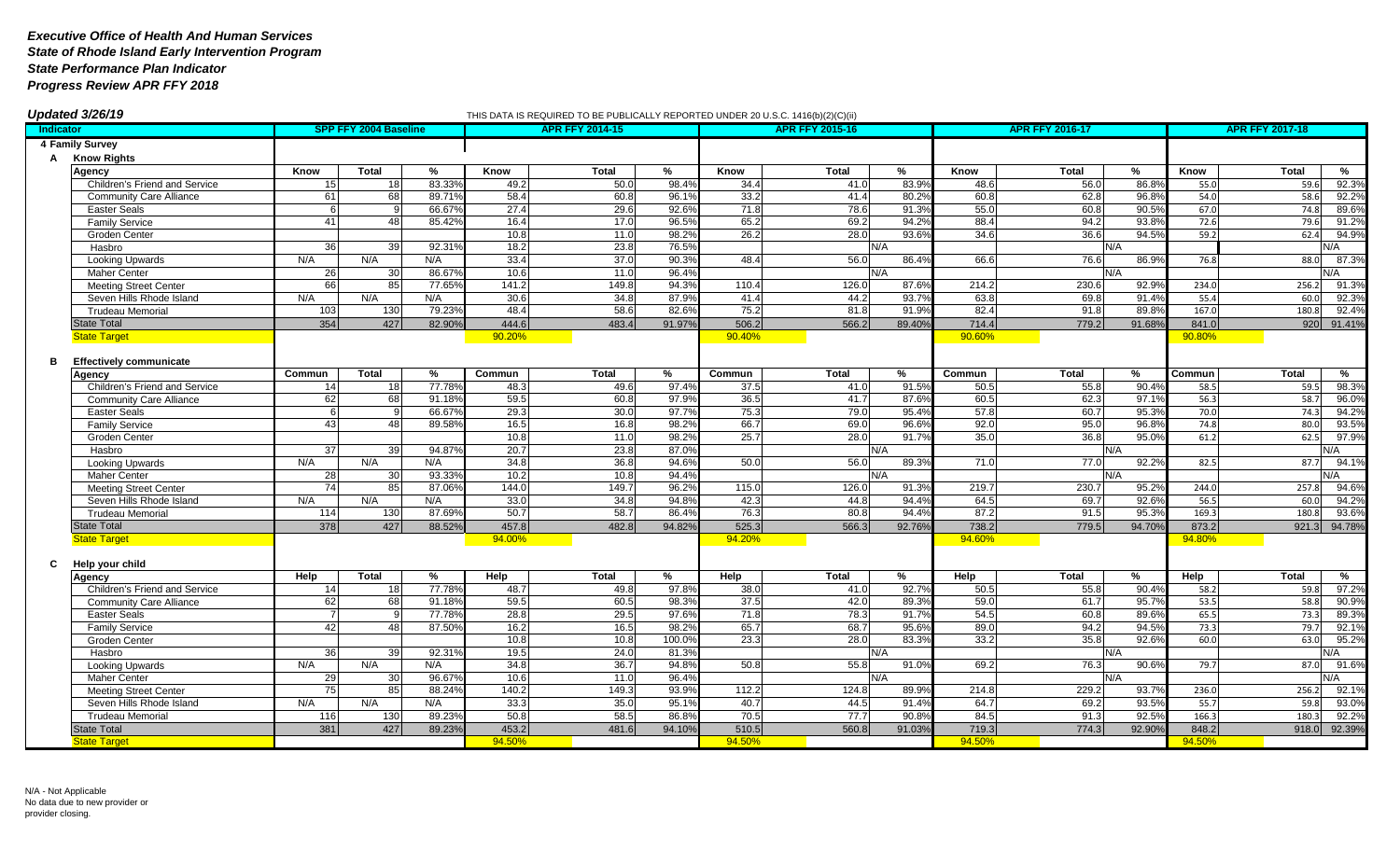| Updated 3/26/19                     |                 |                              | THIS DATA IS REQUIRED TO BE PUBLICALLY REPORTED UNDER 20 U.S.C. 1416(b)(2)(C)(ii) |        |                        |        |        |                        |        |                 |                        |                |        |                        |              |
|-------------------------------------|-----------------|------------------------------|-----------------------------------------------------------------------------------|--------|------------------------|--------|--------|------------------------|--------|-----------------|------------------------|----------------|--------|------------------------|--------------|
| Indicator                           |                 | <b>SPP FFY 2004 Baseline</b> |                                                                                   |        | <b>APR FFY 2014-15</b> |        |        | <b>APR FFY 2015-16</b> |        |                 | <b>APR FFY 2016-17</b> |                |        | <b>APR FFY 2017-18</b> |              |
| 4 Family Survey                     |                 |                              |                                                                                   |        |                        |        |        |                        |        |                 |                        |                |        |                        |              |
| <b>Know Rights</b><br>A             |                 |                              |                                                                                   |        |                        |        |        |                        |        |                 |                        |                |        |                        |              |
| <b>Agency</b>                       | Know            | <b>Total</b>                 | %                                                                                 | Know   | Total                  | %      | Know   | <b>Total</b>           | %      | Know            | <b>Total</b>           | %              | Know   | <b>Total</b>           | %            |
| Children's Friend and Service       | 15              | 18                           | 83.33%                                                                            | 49.2   | 50.0                   | 98.4%  | 34.4   | 41.0                   | 83.9%  | 48.6            | 56.0                   | 86.8%          | 55.0   | 59.6                   | 92.3%        |
| <b>Community Care Alliance</b>      | 61              | 68                           | 89.71%                                                                            | 58.4   | 60.8                   | 96.19  | 33.2   | 41.4                   | 80.2%  | 60.8            | 62.8                   | 96.8%          | 54.0   | 58.6                   | 92.2%        |
| <b>Easter Seals</b>                 | 6               | -9                           | 66.67%                                                                            | 27.4   | 29.6                   | 92.6%  | 71.8   | 78.6                   | 91.3%  | 55 <sub>0</sub> | 60.8                   | 90.5%          | 67.0   | 74.8                   | 89.6%        |
| <b>Family Service</b>               | 41              | 48                           | 85.42%                                                                            | 16.4   | 17.0                   | 96.5%  | 65.2   | 69.2                   | 94.2%  | 88.4            | 94.2                   | 93.8%          | 72.6   | 79.6                   | 91.2%        |
| Groden Center                       |                 |                              |                                                                                   | 10.8   | 11.0                   | 98.2%  | 26.2   | 28.0                   | 93.6%  | 34.6            | 36.6                   | 94.5%          | 59.2   | 62.4                   | 94.9%        |
| Hasbro                              | 36              | 39                           | 92.319                                                                            | 18.2   | 23.8                   | 76.5%  |        |                        | N/A    |                 |                        | N/A            |        |                        | N/A          |
| <b>Looking Upwards</b>              | N/A             | N/A                          | N/A                                                                               | 33.4   | 37.0                   | 90.3%  | 48.4   | 56.0                   | 86.4%  | 66.6            | 76.6                   | 86.9%          | 76.8   | 88.0                   | 87.3%        |
| <b>Maher Center</b>                 | 26              | 30                           | 86.67%                                                                            | 10.6   | 11.0                   | 96.4%  |        |                        | N/A    |                 |                        | N/A            |        |                        | N/A          |
| <b>Meeting Street Center</b>        | 66              | 85                           | 77.65%                                                                            | 141.2  | 149.8                  | 94.3%  | 110.4  | 126.0                  | 87.6%  | 214.2           | 230.6                  | 92.9%          | 234.0  | 256.2                  | 91.3%        |
| Seven Hills Rhode Island            | N/A             | N/A                          | N/A                                                                               | 30.6   | 34.8                   | 87.9%  | 41.4   | 44.2                   | 93.7%  | 63.8            | 69.8                   | 91.4%          | 55.4   | 60.0                   | 92.3%        |
| <b>Trudeau Memorial</b>             | 103             | 130                          | 79.23%                                                                            | 48.4   | 58.6                   | 82.6%  | 75.2   | 81.8                   | 91.9%  | 82.4            | 91.8                   | 89.8%          | 167.0  | 180.8                  | 92.4%        |
| <b>State Total</b>                  | 354             | 427                          | 82.90%                                                                            | 444.6  | 483.4                  | 91.97% | 506.2  | 566.2                  | 89.40% | 714.4           | 779.2                  | 91.68%         | 841.0  |                        | 920 91.41%   |
| <b>State Target</b>                 |                 |                              |                                                                                   | 90.20% |                        |        | 90.40% |                        |        | 90.60%          |                        |                | 90.80% |                        |              |
|                                     |                 |                              |                                                                                   |        |                        |        |        |                        |        |                 |                        |                |        |                        |              |
| в<br><b>Effectively communicate</b> |                 |                              |                                                                                   |        |                        |        |        |                        |        |                 |                        |                |        |                        |              |
| Agency                              | Commun          | <b>Total</b>                 | %                                                                                 | Commun | Total                  | %      | Commun | <b>Total</b>           | %      | Commun          | <b>Total</b>           | %              | Commun | <b>Total</b>           | %            |
| Children's Friend and Service       | 14              | 18                           | 77.78%                                                                            | 48.3   | 49.6                   | 97.4%  | 37.5   | 41.0                   | 91.5%  | 50.5            | 55.8                   | $90.4^{\circ}$ | 58.5   | 59.5                   | 98.3%        |
| <b>Community Care Alliance</b>      | 62              | 68                           | 91.18%                                                                            | 59.5   | 60.8                   | 97.9%  | 36.5   | 41.7                   | 87.6%  | 60.             | 62.3                   | 97.19          | 56.3   | 58.7                   | 96.0%        |
| <b>Easter Seals</b>                 | 6               |                              | 66.67%                                                                            | 29.3   | 30.0                   | 97.79  | 75.3   | 79.0                   | 95.4%  | 57.8            | 60.7                   | 95.3%          | 70.0   | 74.3                   | 94.2%        |
| <b>Family Service</b>               | 43              | 48                           | 89.58%                                                                            | 16.5   | 16.8                   | 98.2%  | 66.7   | 69.0                   | 96.6%  | 92.0            | 95.0                   | 96.8%          | 74.8   | 80.0                   | 93.5%        |
| <b>Groden Center</b>                |                 |                              |                                                                                   | 10.8   | 11.0                   | 98.2%  | 25.7   | 28.0                   | 91.7%  | 35.0            | 36.8                   | 95.0%          | 61.2   | 62.5                   | 97.9%        |
| Hasbro                              | 37 <sup>l</sup> | 39                           | 94.87%                                                                            | 20.7   | 23.8                   | 87.0%  |        |                        | N/A    |                 |                        | N/A            |        |                        | N/A          |
| <b>Looking Upwards</b>              | N/A             | N/A                          | N/A                                                                               | 34.8   | 36.8                   | 94.6%  | 50.0   | 56.0                   | 89.3%  | 71.0            | 77.0                   | 92.2%          | 82.5   | 87.7                   | 94.1%        |
| <b>Maher Center</b>                 | 28              | 30                           | 93.33%                                                                            | 10.2   | 10.8                   | 94.4%  |        |                        | N/A    |                 |                        | N/A            |        |                        | N/A          |
| <b>Meeting Street Center</b>        | 74              | 85                           | 87.06%                                                                            | 144.0  | 149.7                  | 96.2%  | 115.0  | 126.0                  | 91.3%  | 219.7           | 230.7                  | 95.2%          | 244.0  | 257.8                  | 94.6%        |
| Seven Hills Rhode Island            | N/A             | N/A                          | N/A                                                                               | 33.0   | 34.8                   | 94.8%  | 42.3   | 44.8                   | 94.4%  | 64.5            | 69.7                   | 92.6%          | 56.5   | 60.0                   | 94.2%        |
| Trudeau Memoria                     | 114             | 130                          | 87.69%                                                                            | 50.7   | 58.7                   | 86.4%  | 76.3   | 80.8                   | 94.4%  | 87.2            | 91.5                   | 95.3%          | 169.3  | 180.8                  | 93.6%        |
| <b>State Total</b>                  | 378             | 427                          | 88.52%                                                                            | 457.8  | 482.8                  | 94.82% | 525.3  | 566.3                  | 92.76% | 738.2           | 779.5                  | 94.70%         | 873.2  | 921.3                  | 94.78%       |
| <b>State Target</b>                 |                 |                              |                                                                                   | 94.00% |                        |        | 94.20% |                        |        | 94.60%          |                        |                | 94.80% |                        |              |
|                                     |                 |                              |                                                                                   |        |                        |        |        |                        |        |                 |                        |                |        |                        |              |
| Help your child<br>C                |                 |                              |                                                                                   |        |                        |        |        |                        |        |                 |                        |                |        |                        |              |
| Agency                              | Help            | <b>Total</b>                 | %                                                                                 | Help   | Total                  | %      | Help   | <b>Total</b>           | %      | Help            | <b>Total</b>           | %              | Help   | Total                  | %            |
| Children's Friend and Service       | 14              | 18                           | 77.78%                                                                            | 48.7   | 49.8                   | 97.8%  | 38.0   | 41.0                   | 92.7%  | 50.5            | 55.8                   | 90.4%          | 58.2   | 59.8                   | 97.2%        |
| <b>Community Care Alliance</b>      | 62              | 68                           | 91.18%                                                                            | 59.5   | 60.5                   | 98.39  | 37.5   | 42.0                   | 89.39  | 59.0            | 61.7                   | 95.7%          | 53.5   | 58.8                   | 90.9%        |
| <b>Easter Seals</b>                 | $\overline{7}$  |                              | 77.78%                                                                            | 28.8   | 29.5                   | 97.6%  | 71.8   | 78.3                   | 91.7%  | 54.5            | 60.8                   | 89.6%          | 65.5   | 73.3                   | 89.3%        |
| <b>Family Service</b>               | 42              | 48                           | 87.50%                                                                            | 16.2   | 16.5                   | 98.29  | 65.7   | 68.7                   | 95.6%  | 89.0            | 94.2                   | 94.5%          | 73.3   | 79.7                   | 92.1%        |
| Groden Center                       |                 |                              |                                                                                   | 10.8   | 10.8                   | 100.0% | 23.3   | 28.0                   | 83.3%  | 33.2            | 35.8                   | 92.6%          | 60.0   | 63.0                   | 95.2%        |
| Hasbro                              | 36              | 39                           | 92.31%                                                                            | 19.5   | 24.0                   | 81.39  |        |                        | N/A    |                 |                        | N/A            |        |                        | N/A          |
| <b>Looking Upwards</b>              | N/A             | N/A                          | N/A                                                                               | 34.8   | 36.7                   | 94.8%  | 50.8   | 55.8                   | 91.0%  | 69.2            | 76.3                   | 90.6%          | 79.7   | 87.0                   | 91.6%        |
| <b>Maher Center</b>                 | 29              | 30                           | 96.67%                                                                            | 10.6   | 11.0                   | 96.4%  |        |                        | N/A    |                 |                        | N/A            |        |                        | N/A          |
| <b>Meeting Street Center</b>        | 75              | 85                           | 88.24%                                                                            | 140.2  | 149.3                  | 93.9%  | 112.2  | 124.8                  | 89.9%  | 214.8           | 229.2                  | 93.7%          | 236.0  | 256.2                  | 92.1%        |
| Seven Hills Rhode Island            | N/A             | N/A                          | N/A                                                                               | 33.3   | 35.0                   | 95.19  | 40.7   | 44.5                   | 91.4%  | 64.7            | 69.2                   | 93.5%          | 55.7   | 59.8                   | 93.0%        |
| <b>Trudeau Memoria</b>              | 116             | 130                          | 89.23%                                                                            | 50.8   | 58.5                   | 86.89  | 70.5   | 77.7                   | 90.8%  | 84.5            | 91.3                   | 92.5%          | 166.3  | 180.3                  | 92.2%        |
| <b>State Total</b>                  | 381             | 427                          | 89.23%                                                                            | 453.2  | 481.6                  | 94.10% | 510.5  | 560.8                  | 91.03% | 719.3           | 774.3                  | 92.90%         | 848.2  |                        | 918.0 92.39% |
| <b>State Target</b>                 |                 |                              |                                                                                   | 94.50% |                        |        | 94.50% |                        |        | 94.50%          |                        |                | 94.50% |                        |              |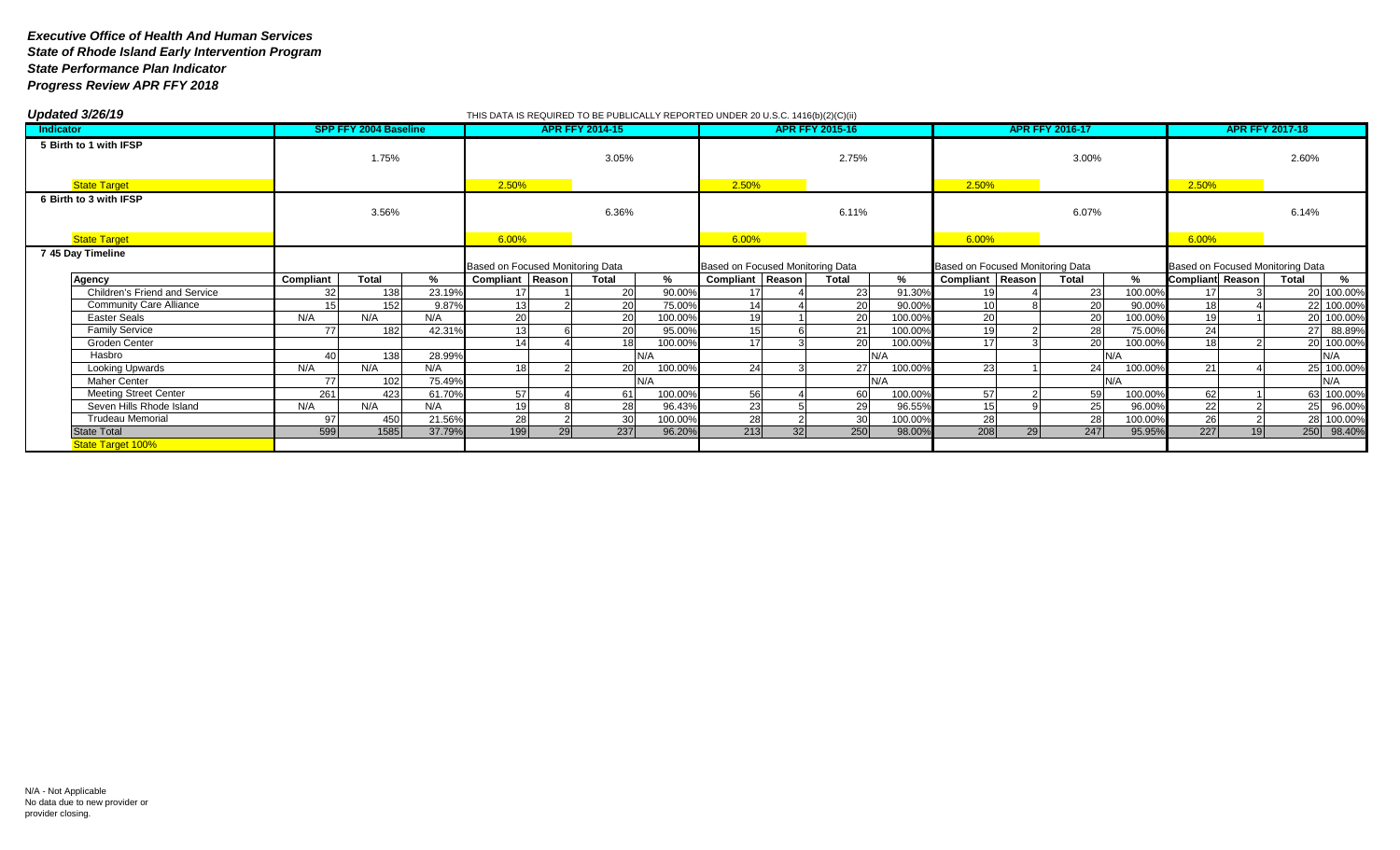|                  | Updated 3/26/19                                          |                        |                              |                                  | THIS DATA IS REQUIRED TO BE PUBLICALLY REPORTED UNDER 20 U.S.C. 1416(b)(2)(C)(ii) |  |                                  |               |                  |        |                                  |                   |                  |                                  |                   |                         |            |       |                      |
|------------------|----------------------------------------------------------|------------------------|------------------------------|----------------------------------|-----------------------------------------------------------------------------------|--|----------------------------------|---------------|------------------|--------|----------------------------------|-------------------|------------------|----------------------------------|-------------------|-------------------------|------------|-------|----------------------|
| <b>Indicator</b> |                                                          |                        | <b>SPP FFY 2004 Baseline</b> |                                  |                                                                                   |  | <b>APR FFY 2014-15</b>           |               |                  |        | <b>APR FFY 2015-16</b>           |                   |                  | <b>APR FFY 2016-17</b>           |                   | <b>APR FFY 2017-18</b>  |            |       |                      |
|                  | 5 Birth to 1 with IFSP                                   |                        |                              |                                  |                                                                                   |  |                                  |               |                  |        |                                  |                   |                  |                                  |                   |                         |            |       |                      |
|                  |                                                          |                        | 1.75%                        |                                  |                                                                                   |  | 3.05%                            |               | 2.75%            |        | 3.00%                            |                   |                  |                                  |                   | 2.60%                   |            |       |                      |
|                  |                                                          |                        |                              |                                  |                                                                                   |  |                                  |               |                  |        |                                  |                   |                  |                                  |                   |                         |            |       |                      |
|                  | <b>State Target</b>                                      |                        |                              |                                  | 2.50%                                                                             |  |                                  |               | 2.50%            |        |                                  |                   | 2.50%            |                                  |                   | 2.50%                   |            |       |                      |
|                  | 6 Birth to 3 with IFSP                                   |                        |                              |                                  |                                                                                   |  |                                  |               |                  |        |                                  |                   |                  |                                  |                   |                         |            |       |                      |
|                  |                                                          |                        | 3.56%                        |                                  |                                                                                   |  | 6.36%                            |               |                  |        | 6.11%                            |                   |                  | 6.07%                            |                   |                         |            | 6.14% |                      |
|                  |                                                          |                        |                              |                                  |                                                                                   |  |                                  |               |                  |        |                                  |                   |                  |                                  |                   |                         |            |       |                      |
|                  | <b>State Target</b>                                      |                        |                              |                                  | 6.00%                                                                             |  |                                  | 6.00%         |                  |        |                                  | 6.00%             |                  |                                  | 6.00%             |                         |            |       |                      |
|                  | 7 45 Day Timeline                                        |                        |                              |                                  |                                                                                   |  |                                  |               |                  |        |                                  |                   |                  |                                  |                   |                         |            |       |                      |
|                  |                                                          |                        |                              | Based on Focused Monitoring Data |                                                                                   |  | Based on Focused Monitoring Data |               |                  |        | Based on Focused Monitoring Data |                   |                  | Based on Focused Monitoring Data |                   |                         |            |       |                      |
|                  | <b>Agency</b>                                            | Compliant              | <b>Total</b>                 | %                                | <b>Compliant Reason</b>                                                           |  | Total                            | $\frac{9}{6}$ | Compliant Reason |        | <b>Total</b>                     | %                 | Compliant Reason | <b>Total</b>                     |                   | <b>Compliant Reason</b> |            | Total | $\frac{9}{6}$        |
|                  | Children's Friend and Service                            | 32                     | 138                          | 23.19%                           | 17                                                                                |  | 20                               | 90.00%        | 17               |        | 23                               | 91.30%            |                  | 23                               | 100.00%           |                         |            |       | 20 100.00%           |
|                  | <b>Community Care Alliance</b>                           | 15 <sup>1</sup>        | 152                          | 9.87%                            | 13                                                                                |  | 20                               | 75.00%        | 14               |        | 20                               | 90.00%            | 10               | 20                               | 90.00%            | 18 <sup>1</sup>         |            |       | 22 100.00%           |
|                  | <b>Easter Seals</b>                                      | N/A                    | N/A                          | N/A                              | 20                                                                                |  | 20                               | 100.00%       | 19               |        | 20                               | 100.00%           | 20               | 20                               | 100.00%           |                         |            |       | 20 100.00%           |
|                  | <b>Family Service</b>                                    | 77                     | 182                          | 42.31%                           | 13                                                                                |  | 20                               | 95.00%        | 15               |        | $\overline{21}$                  | 100.00%           | 19               | 28                               | 75.00%            | 24                      |            | 27    | 88.89%               |
|                  | Groden Center                                            |                        |                              |                                  | 14                                                                                |  | 18                               | 100.00%       | 17               |        | 20                               | 100.00%           | 17               | 20                               | 100.00%           | 18                      |            |       | 20 100.00%           |
|                  | Hasbro                                                   | 40                     | 138                          | 28.99%                           |                                                                                   |  | N/A                              |               |                  |        |                                  | N/A               |                  |                                  | N/A               |                         |            |       | N/A                  |
|                  | Looking Upwards                                          | N/A                    | N/A                          | N/A                              | 18                                                                                |  | 20                               | 100.00%       | 24               |        | 27                               | 100.00%           | 23               | 24                               | 100.00%           | 21                      |            |       | 25 100.00%           |
|                  | <b>Maher Center</b>                                      | 77                     | 102                          | 75.49%                           |                                                                                   |  | N/A                              |               |                  |        |                                  | N/A               |                  |                                  | N/A               |                         |            |       | N/A                  |
|                  | <b>Meeting Street Center</b><br>Seven Hills Rhode Island | 261                    | 423                          | 61.70%<br>N/A                    | 57<br>19                                                                          |  | 61                               | 100.00%       | 56<br>23         |        | 60<br>29                         | 100.00%<br>96.55% | 57<br>15         | 59                               | 100.00%<br>96.00% | 62                      |            | 25    | 63 100.00%           |
|                  | <b>Trudeau Memorial</b>                                  | N/A<br>97 <sup>1</sup> | N/A<br>450                   | 21.56%                           |                                                                                   |  | 28                               | 96.43%        | 28               |        | 30 <sup>1</sup>                  | 100.00%           | 28               | 25<br>28                         | 100.00%           | 22<br>26                |            |       | 96.00%<br>28 100.00% |
|                  | <b>State Total</b>                                       | 599                    | 1585                         | 37.79%                           | 28<br>30<br>100.00%<br>199<br>237<br>29<br>96.20%                                 |  | 213                              | 32            | 250              | 98.00% | 208<br>29                        | 247               | 95.95%           | 227                              | 19 <sup>1</sup>   |                         | 250 98.40% |       |                      |
|                  | <b>State Target 100%</b>                                 |                        |                              |                                  |                                                                                   |  |                                  |               |                  |        |                                  |                   |                  |                                  |                   |                         |            |       |                      |
|                  |                                                          |                        |                              |                                  |                                                                                   |  |                                  |               |                  |        |                                  |                   |                  |                                  |                   |                         |            |       |                      |